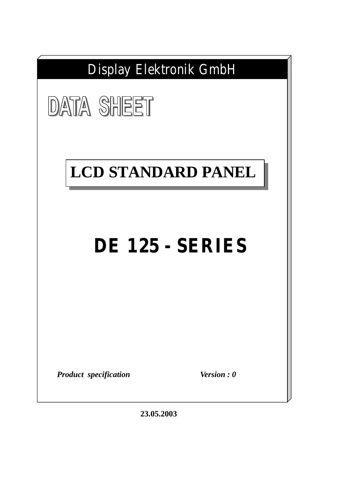

**23.05.2003**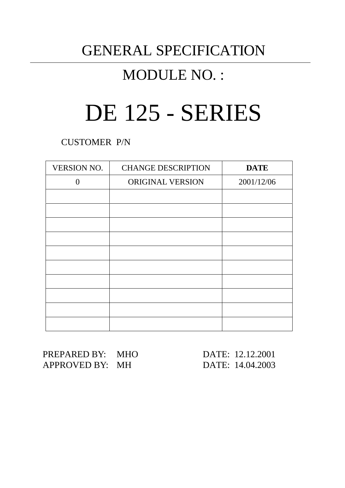# GENERAL SPECIFICATION

# MODULE NO. :

# DE 125 - SERIES

CUSTOMER P/N

| <b>VERSION NO.</b> | <b>CHANGE DESCRIPTION</b> | <b>DATE</b> |
|--------------------|---------------------------|-------------|
| $\Omega$           | ORIGINAL VERSION          | 2001/12/06  |
|                    |                           |             |
|                    |                           |             |
|                    |                           |             |
|                    |                           |             |
|                    |                           |             |
|                    |                           |             |
|                    |                           |             |
|                    |                           |             |
|                    |                           |             |
|                    |                           |             |

PREPARED BY: MHO DATE: 12.12.2001 APPROVED BY: MH DATE: 14.04.2003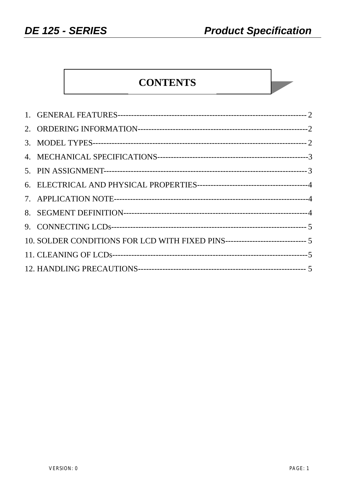**College** 

# **CONTENTS**

| 10. SOLDER CONDITIONS FOR LCD WITH FIXED PINS------------------------------ 5 |  |
|-------------------------------------------------------------------------------|--|
|                                                                               |  |
|                                                                               |  |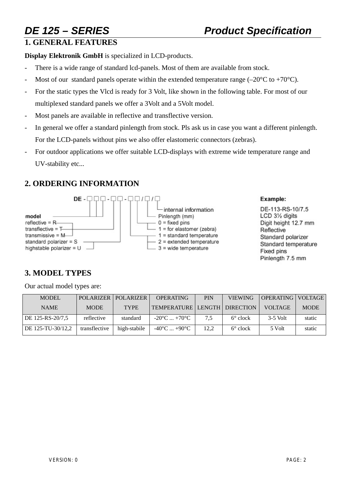# **1. GENERAL FEATURES**

**Display Elektronik GmbH** is specialized in LCD-products.

- There is a wide range of standard lcd-panels. Most of them are available from stock.
- Most of our standard panels operate within the extended temperature range (–20 $^{\circ}$ C to +70 $^{\circ}$ C).
- For the static types the Vlcd is ready for 3 Volt, like shown in the following table. For most of our multiplexed standard panels we offer a 3Volt and a 5Volt model.
- Most panels are available in reflective and transflective version.
- In general we offer a standard pinlength from stock. Pls ask us in case you want a different pinlength. For the LCD-panels without pins we also offer elastomeric connectors (zebras).
- For outdoor applications we offer suitable LCD-displays with extreme wide temperature range and UV-stability etc...

# **2. ORDERING INFORMATION**



### Example:

DE-113-RS-10/7.5 LCD 31/2 digits Digit height 12.7 mm Reflective Standard polarizer Standard temperature Fixed pins Pinlength 7.5 mm

# **3. MODEL TYPES**

Our actual model types are:

| <b>MODEL</b>      |               | POLARIZER   POLARIZER | <b>OPERATING</b>                | PIN  | <b>VIEWING</b>    | OPERATING   VOLTAGE |             |
|-------------------|---------------|-----------------------|---------------------------------|------|-------------------|---------------------|-------------|
| <b>NAME</b>       | <b>MODE</b>   | <b>TYPE</b>           | TEMPERATURE LENGTH DIRECTION    |      |                   | <b>VOLTAGE</b>      | <b>MODE</b> |
| DE 125-RS-20/7.5  | reflective    | standard              | $-20^{\circ}$ C $+70^{\circ}$ C | 7.5  | $6^{\circ}$ clock | $3-5$ Volt          | static      |
| DE 125-TU-30/12.2 | transflective | high-stabile          | $-40^{\circ}$ C $+90^{\circ}$ C | 12.2 | $6^{\circ}$ clock | 5 Volt              | static      |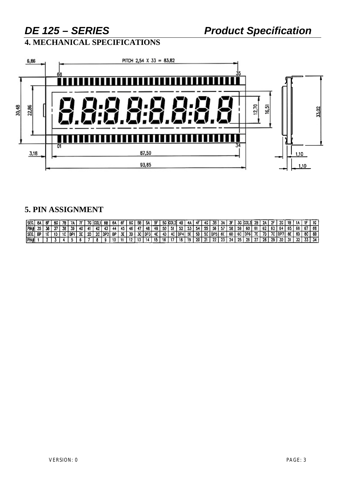**4. MECHANICAL SPECIFICATIONS**



# **5. PIN ASSIGNMENT**

| <b>ISEG.</b> | -84 | Æ | ßG |     |         |      |    | 7G   COL1   6B |               | - 6A | 6F   | 6G I  | 58 I | 5A I     | 5F.  |      | 5G COL2 4B |            | 4A  |        |       | 4G I 3B I | ЗA.  | 35. | 3G ICOL |         | 2B     | つム     |      | 2G I    | 18    |     | 10  |    |
|--------------|-----|---|----|-----|---------|------|----|----------------|---------------|------|------|-------|------|----------|------|------|------------|------------|-----|--------|-------|-----------|------|-----|---------|---------|--------|--------|------|---------|-------|-----|-----|----|
| <b>PIN#</b>  |     |   |    | 38. | -39.    | 40 I |    |                |               | 44   |      | 46 L  |      | 48.      | -49  | 50 I | -51        | l 52.      | -53 | -54    |       | 55   56   | 57.  | 58  | 59      | -60 I   | -61    | -62    |      |         | 65.   | -66 | -67 | 68 |
| <b>SEG.</b>  | 8P  |   |    |     | l nei l | 2F L | 20 |                | 2C   DP2   BP |      | . זר | -30 I |      | 3C I DP3 | 4E I | 4D   |            | 4C I DP4 I | 5E  | - 5D I | 1 E A | ⊸cipP5i‴  | 6E I | 6D  | 6C I    | I DP6 I | - 7E L | - 7D I | 70   | : IDP71 | -8E 1 | 8D  | 8C  | 88 |
| <b>PIN#</b>  |     |   |    |     |         |      |    |                |               |      |      |       |      |          | 13   | w    |            | -18        | 19  | -20    | - 61  | -99.      | 23   | -24 | 25      | -26     | -97    | -28    | 20 L | 30.     |       | 70  |     |    |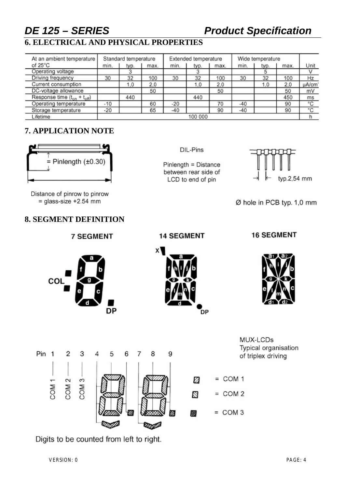# *DE 125 – SERIES Product Specification*

# **6. ELECTRICAL AND PHYSICAL PROPERTIES**

| At an ambient temperature          |         | Standard temperature |      |       | Extended temperature |      | Wide temperature |      |      |       |  |  |
|------------------------------------|---------|----------------------|------|-------|----------------------|------|------------------|------|------|-------|--|--|
| of $25^{\circ}$ C                  | min.    | typ.                 | max. | min.  | typ.                 | max. | min.             | typ. | max. | Unit  |  |  |
| Operating voltage                  |         |                      |      |       |                      |      |                  |      |      |       |  |  |
| Driving frequency                  | 30      | 32                   | 100  | 30    | 32                   | 100  | 30               | 32   | 100  | Hz    |  |  |
| Current consumption                |         | 1.0                  | 2,0  |       | 1,0                  | 2,0  |                  | 1.0  | 2,0  | µA/cm |  |  |
| DC-voltage allowance               |         |                      | 50   |       |                      | 50   |                  |      | 50   | mV    |  |  |
| Response time $(t_{on} + t_{off})$ |         | 440                  |      |       | 440                  |      |                  |      | 450  | ms    |  |  |
| Operating temperature              | $-10$   |                      | 60   | $-20$ |                      | 70   | $-40$            |      | 90   | °C    |  |  |
| Storage temperature                | $-20$   |                      | 65   | $-40$ |                      | 90   | $-40$            |      | 90   | ۰c    |  |  |
| Lifetime                           | 100 000 |                      |      |       |                      |      |                  |      |      |       |  |  |

# **7. APPLICATION NOTE**



Distance of pinrow to pinrow  $=$  qlass-size +2.54 mm

COL

# **8. SEGMENT DEFINITION**

**7 SEGMENT** 

**DP** 

DIL-Pins

Pinlength = Distance between rear side of LCD to end of pin



Ø hole in PCB typ. 1,0 mm

### **14 SEGMENT**

**DP** 

### **16 SEGMENT**



MUX-LCDs Typical organisation of triplex driving



Digits to be counted from left to right.

VERSION: 0 PAGE: 4